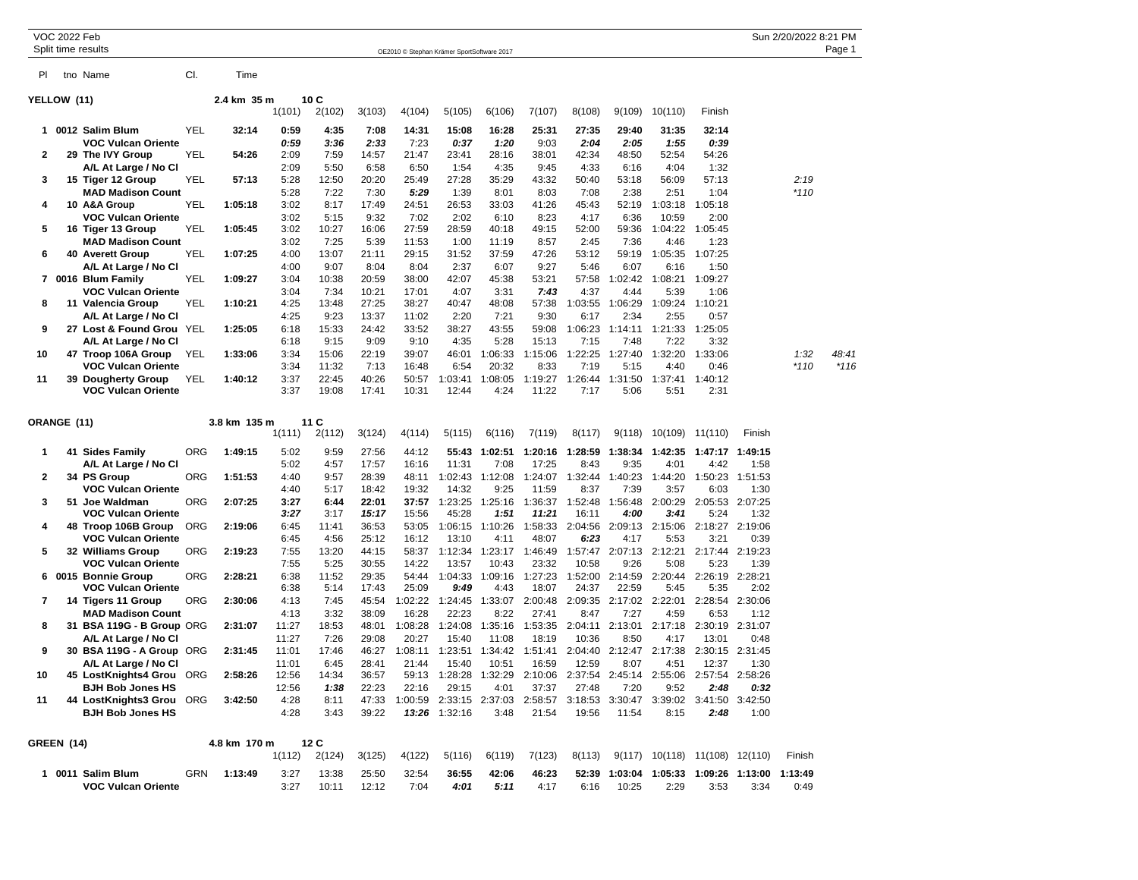|                | <b>VOC 2022 Feb</b> | Split time results                               |            |              |                |                |                |                                            |                  |                  |                  |                  |                 |                  |                  |                 | Sun 2/20/2022 8:21 PM | Page 1 |
|----------------|---------------------|--------------------------------------------------|------------|--------------|----------------|----------------|----------------|--------------------------------------------|------------------|------------------|------------------|------------------|-----------------|------------------|------------------|-----------------|-----------------------|--------|
|                |                     |                                                  |            |              |                |                |                | OE2010 © Stephan Krämer SportSoftware 2017 |                  |                  |                  |                  |                 |                  |                  |                 |                       |        |
| PI             |                     | tno Name                                         | CI.        | Time         |                |                |                |                                            |                  |                  |                  |                  |                 |                  |                  |                 |                       |        |
| YELLOW (11)    |                     |                                                  |            | 2.4 km 35 m  |                | 10C            |                |                                            |                  |                  |                  |                  |                 |                  |                  |                 |                       |        |
|                |                     |                                                  |            |              | 1(101)         | 2(102)         | 3(103)         | 4(104)                                     | 5(105)           | 6(106)           | 7(107)           | 8(108)           | 9(109)          | 10(110)          | Finish           |                 |                       |        |
| 1              |                     | 0012 Salim Blum                                  | YEL        | 32:14        | 0:59           | 4:35           | 7:08           | 14:31                                      | 15:08            | 16:28            | 25:31            | 27:35            | 29:40           | 31:35            | 32:14            |                 |                       |        |
|                |                     | <b>VOC Vulcan Oriente</b>                        |            |              | 0.59           | 3:36           | 2:33           | 7:23                                       | 0:37             | 1:20             | 9:03             | 2:04             | 2:05            | 1:55             | 0:39             |                 |                       |        |
| $\overline{2}$ |                     | 29 The IVY Group                                 | YEL        | 54:26        | 2:09           | 7:59           | 14:57          | 21:47                                      | 23:41            | 28:16            | 38:01            | 42:34            | 48:50           | 52:54            | 54:26            |                 |                       |        |
|                |                     | A/L At Large / No Cl                             |            |              | 2:09           | 5:50           | 6:58           | 6:50                                       | 1:54             | 4:35             | 9:45             | 4:33             | 6:16            | 4:04             | 1:32             |                 |                       |        |
| 3              |                     | 15 Tiger 12 Group                                | YEL        | 57:13        | 5:28           | 12:50          | 20:20          | 25:49                                      | 27:28            | 35:29            | 43:32            | 50:40            | 53:18           | 56:09            | 57:13            |                 | 2:19                  |        |
|                |                     | <b>MAD Madison Count</b>                         |            |              | 5:28           | 7:22           | 7:30           | 5:29                                       | 1:39             | 8:01             | 8:03             | 7:08             | 2:38            | 2:51             | 1:04             |                 | $*110$                |        |
| 4              |                     | 10 A&A Group<br><b>VOC Vulcan Oriente</b>        | <b>YEL</b> | 1:05:18      | 3:02<br>3:02   | 8:17<br>5:15   | 17:49<br>9:32  | 24:51<br>7:02                              | 26:53<br>2:02    | 33:03<br>6:10    | 41:26<br>8:23    | 45:43<br>4:17    | 52:19<br>6:36   | 1:03:18<br>10:59 | 1:05:18<br>2:00  |                 |                       |        |
| 5              |                     | 16 Tiger 13 Group                                | <b>YEL</b> | 1:05:45      | 3:02           | 10:27          | 16:06          | 27:59                                      | 28:59            | 40:18            | 49:15            | 52:00            | 59:36           | 1:04:22          | 1:05:45          |                 |                       |        |
|                |                     | <b>MAD Madison Count</b>                         |            |              | 3:02           | 7:25           | 5:39           | 11:53                                      | 1:00             | 11:19            | 8:57             | 2:45             | 7:36            | 4:46             | 1:23             |                 |                       |        |
| 6              |                     | 40 Averett Group                                 | <b>YEL</b> | 1:07:25      | 4:00           | 13:07          | 21:11          | 29:15                                      | 31:52            | 37:59            | 47:26            | 53:12            | 59:19           | 1:05:35          | 1:07:25          |                 |                       |        |
|                |                     | A/L At Large / No Cl                             |            |              | 4:00           | 9:07           | 8:04           | 8:04                                       | 2:37             | 6:07             | 9:27             | 5:46             | 6:07            | 6:16             | 1:50             |                 |                       |        |
| $\overline{7}$ |                     | 0016 Blum Family                                 | <b>YEL</b> | 1:09:27      | 3:04           | 10:38          | 20:59          | 38:00                                      | 42:07            | 45:38            | 53:21            | 57:58            | 1:02:42         | 1:08:21          | 1:09:27          |                 |                       |        |
|                |                     | <b>VOC Vulcan Oriente</b>                        |            |              | 3:04           | 7:34           | 10:21          | 17:01                                      | 4:07             | 3:31             | 7:43             | 4:37             | 4:44            | 5:39             | 1:06             |                 |                       |        |
| 8              |                     | 11 Valencia Group                                | <b>YEL</b> | 1:10:21      | 4:25           | 13:48          | 27:25          | 38:27                                      | 40:47            | 48:08            | 57:38            | 1:03:55          | 1:06:29         | 1:09:24          | 1:10:21          |                 |                       |        |
|                |                     | A/L At Large / No Cl                             |            |              | 4:25           | 9:23           | 13:37          | 11:02                                      | 2:20             | 7:21             | 9:30             | 6:17             | 2:34            | 2:55             | 0:57             |                 |                       |        |
| 9              |                     | 27 Lost & Found Grou YEL                         |            | 1:25:05      | 6:18           | 15:33          | 24:42          | 33:52                                      | 38:27            | 43:55            | 59:08            | 1:06:23          | 1:14:11         | 1:21:33          | 1:25:05          |                 |                       |        |
|                |                     | A/L At Large / No Cl                             |            |              | 6:18<br>3:34   | 9:15           | 9:09<br>22:19  | 9:10<br>39:07                              | 4:35             | 5:28             | 15:13<br>1:15:06 | 7:15<br>1:22:25  | 7:48            | 7:22<br>1:32:20  | 3:32<br>1:33:06  |                 | 1:32                  | 48:41  |
| 10             |                     | 47 Troop 106A Group<br><b>VOC Vulcan Oriente</b> | YEL        | 1:33:06      | 3:34           | 15:06<br>11:32 | 7:13           | 16:48                                      | 46:01<br>6:54    | 1:06:33<br>20:32 | 8:33             | 7:19             | 1:27:40<br>5:15 | 4:40             | 0:46             |                 | $*110$                | *116   |
| 11             | 39                  | <b>Dougherty Group</b>                           | YEL        | 1:40:12      | 3:37           | 22:45          | 40:26          | 50:57                                      | 1:03:41          | 1:08:05          | 1:19:27          | 1:26:44          | 1:31:50         | 1:37:41          | 1:40:12          |                 |                       |        |
|                |                     | <b>VOC Vulcan Oriente</b>                        |            |              | 3:37           | 19:08          | 17:41          | 10:31                                      | 12:44            | 4:24             | 11:22            | 7:17             | 5:06            | 5:51             | 2:31             |                 |                       |        |
|                |                     |                                                  |            |              |                |                |                |                                            |                  |                  |                  |                  |                 |                  |                  |                 |                       |        |
|                | <b>ORANGE (11)</b>  |                                                  |            | 3.8 km 135 m |                | 11 C           |                |                                            |                  |                  |                  |                  |                 |                  |                  |                 |                       |        |
|                |                     |                                                  |            |              | 1(111)         | 2(112)         | 3(124)         | 4(114)                                     | 5(115)           | 6(116)           | 7(119)           | 8(117)           | 9(118)          | 10(109)          | 11(110)          | Finish          |                       |        |
| $\mathbf{1}$   |                     | 41 Sides Family                                  | <b>ORG</b> | 1:49:15      | 5:02           | 9:59           | 27:56          | 44:12                                      | 55:43            | 1:02:51          | 1:20:16          | 1:28:59          | 1:38:34         | 1:42:35          | 1:47:17 1:49:15  |                 |                       |        |
|                |                     | A/L At Large / No Cl                             |            |              | 5:02           | 4:57           | 17:57          | 16:16                                      | 11:31            | 7:08             | 17:25            | 8:43             | 9:35            | 4:01             | 4:42             | 1:58            |                       |        |
| $\overline{2}$ |                     | 34 PS Group                                      | ORG        | 1:51:53      | 4:40           | 9:57           | 28:39          | 48:11                                      | 1:02:43          | 1:12:08          | 1:24:07          | 1:32:44          | 1:40:23         | 1:44:20          | 1:50:23          | 1:51:53         |                       |        |
|                |                     | <b>VOC Vulcan Oriente</b>                        |            |              | 4:40           | 5:17           | 18:42          | 19:32                                      | 14:32            | 9:25             | 11:59            | 8:37             | 7:39            | 3:57             | 6:03             | 1:30            |                       |        |
| 3              |                     | 51 Joe Waldman                                   | <b>ORG</b> | 2:07:25      | 3:27           | 6:44           | 22:01          | 37:57                                      | 1:23:25          | 1:25:16          | 1:36:37          | 1:52:48          | 1:56:48         | 2:00:29          | 2:05:53          | 2:07:25         |                       |        |
|                |                     | <b>VOC Vulcan Oriente</b>                        |            |              | 3:27           | 3:17           | 15:17          | 15:56                                      | 45:28            | 1:51             | 11:21            | 16:11            | 4:00            | 3:41             | 5:24             | 1:32            |                       |        |
| 4              |                     | 48 Troop 106B Group<br><b>VOC Vulcan Oriente</b> | <b>ORG</b> | 2:19:06      | 6:45<br>6:45   | 11:41<br>4:56  | 36:53<br>25:12 | 53:05<br>16:12                             | 1:06:15<br>13:10 | 1:10:26<br>4:11  | 1:58:33<br>48:07 | 2:04:56<br>6:23  | 2:09:13<br>4:17 | 2:15:06<br>5:53  | 2:18:27<br>3:21  | 2:19:06<br>0:39 |                       |        |
| 5              |                     | 32 Williams Group                                | <b>ORG</b> | 2:19:23      | 7:55           | 13:20          | 44:15          | 58:37                                      | 1:12:34          | 1:23:17          | 1:46:49          | 1:57:47          | 2:07:13         | 2:12:21          | 2:17:44          | 2:19:23         |                       |        |
|                |                     | <b>VOC Vulcan Oriente</b>                        |            |              | 7:55           | 5:25           | 30:55          | 14:22                                      | 13:57            | 10:43            | 23:32            | 10:58            | 9:26            | 5:08             | 5:23             | 1:39            |                       |        |
| 6              |                     | 0015 Bonnie Group                                | <b>ORG</b> | 2:28:21      | 6:38           | 11:52          | 29:35          | 54:44                                      | 1:04:33          | 1:09:16          | 1:27:23          | 1:52:00          | 2:14:59         | 2:20:44          | 2:26:19          | 2:28:21         |                       |        |
|                |                     | <b>VOC Vulcan Oriente</b>                        |            |              | 6:38           | 5:14           | 17:43          | 25:09                                      | 9:49             | 4:43             | 18:07            | 24:37            | 22:59           | 5:45             | 5:35             | 2:02            |                       |        |
| $\overline{7}$ |                     | 14 Tigers 11 Group                               | <b>ORG</b> | 2:30:06      | 4:13           | 7:45           | 45:54          | 1:02:22                                    | 1:24:45          | 1:33:07          | 2:00:48          | 2:09:35          | 2:17:02         | 2:22:01          | 2:28:54          | 2:30:06         |                       |        |
|                |                     | <b>MAD Madison Count</b>                         |            |              | 4:13           | 3:32           | 38:09          | 16:28                                      | 22:23            | 8:22             | 27:41            | 8:47             | 7:27            | 4:59             | 6:53             | 1:12            |                       |        |
| 8              |                     | 31 BSA 119G - B Group ORG                        |            | 2:31:07      | 11:27          | 18:53          | 48:01          | 1:08:28                                    | 1:24:08          | 1:35:16          | 1:53:35          | 2:04:11          | 2:13:01         | 2:17:18          | 2:30:19          | 2:31:07         |                       |        |
|                |                     | A/L At Large / No Cl                             |            |              | 11:27          | 7:26           | 29:08          | 20:27                                      | 15:40            | 11:08            | 18:19            | 10:36            | 8:50            | 4:17             | 13:01            | 0:48            |                       |        |
| 9              |                     | 30 BSA 119G - A Group ORG                        |            | 2:31:45      | 11:01          | 17:46          | 46:27          | 1:08:11                                    | 1:23:51          | 1:34:42          | 1:51:41          | 2:04:40          | 2:12:47         | 2:17:38          |                  | 2:30:15 2:31:45 |                       |        |
| 10             |                     | A/L At Large / No Cl<br>45 LostKnights4 Grou     | ORG        | 2:58:26      | 11:01<br>12:56 | 6:45<br>14:34  | 28:41<br>36:57 | 21:44<br>59:13                             | 15:40<br>1:28:28 | 10:51<br>1:32:29 | 16:59<br>2:10:06 | 12:59<br>2:37:54 | 8:07<br>2:45:14 | 4:51<br>2:55:06  | 12:37<br>2:57:54 | 1:30<br>2:58:26 |                       |        |
|                |                     | BJH Bob Jones HS                                 |            |              | 12:56          | 1:38           | 22:23          | 22:16                                      | 29:15            | 4:01             | 37:37            | 27:48            | 7:20            | 9:52             | 2:48             | 0:32            |                       |        |
| 11             |                     | 44 LostKnights3 Grou                             | <b>ORG</b> | 3:42:50      | 4:28           | 8:11           | 47:33          | 1:00:59                                    | 2:33:15          | 2:37:03          | 2:58:57          | 3:18:53          | 3:30:47         | 3:39:02          | 3:41:50          | 3:42:50         |                       |        |
|                |                     | <b>BJH Bob Jones HS</b>                          |            |              | 4:28           | 3:43           | 39:22          | 13:26                                      | 1:32:16          | 3:48             | 21:54            | 19:56            | 11:54           | 8:15             | 2:48             | 1:00            |                       |        |
|                |                     |                                                  |            |              |                |                |                |                                            |                  |                  |                  |                  |                 |                  |                  |                 |                       |        |
| GREEN (14)     |                     |                                                  |            | 4.8 km 170 m |                | 12C            |                |                                            |                  |                  |                  |                  |                 |                  |                  |                 |                       |        |
|                |                     |                                                  |            |              | 1(112)         | 2(124)         | 3(125)         | 4(122)                                     | 5(116)           | 6(119)           | 7(123)           | 8(113)           | 9(117)          | 10(118)          | 11(108)          | 12(110)         | Finish                |        |

| 0011 | Salim Blum                | GRN | 1:13:49 |      | 13:38 | 25:50 | 32:54 | 36:55 | 42:06 | 46:23     | 52:39 | 1:03:04 | 1:05:33 |      | 1:09:26 1:13:00 | 1:13:49 |
|------|---------------------------|-----|---------|------|-------|-------|-------|-------|-------|-----------|-------|---------|---------|------|-----------------|---------|
|      | <b>VOC Vulcan Oriente</b> |     |         | 2.27 | 10.11 | 12.12 | 7:04  | 4:01  | 5:11  | $4:1^{-}$ | 6:16  | 10:25   | 2:29    | 3:53 | 3:34            | 0:49    |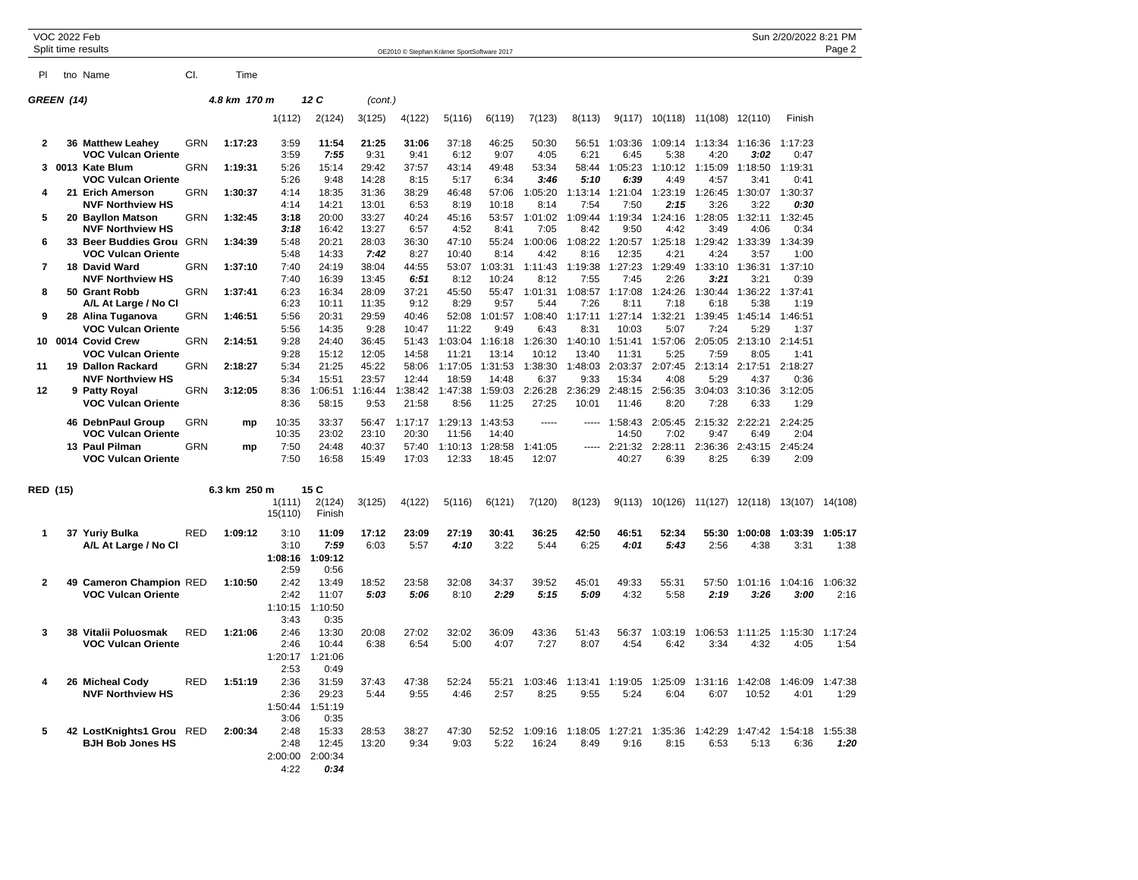|                | <b>VOC 2022 Feb</b> | Split time results                              |            |              |                   |                  |                 |                 | OE2010 © Stephan Krämer SportSoftware 2017 |                  |                  |                  |                  |                 |                 |                 | Sun 2/20/2022 8:21 PM   | Page 2          |
|----------------|---------------------|-------------------------------------------------|------------|--------------|-------------------|------------------|-----------------|-----------------|--------------------------------------------|------------------|------------------|------------------|------------------|-----------------|-----------------|-----------------|-------------------------|-----------------|
| PI             |                     | tno Name                                        | CI.        | Time         |                   |                  |                 |                 |                                            |                  |                  |                  |                  |                 |                 |                 |                         |                 |
|                | GREEN (14)          |                                                 |            | 4.8 km 170 m |                   | 12 C             | (cont.)         |                 |                                            |                  |                  |                  |                  |                 |                 |                 |                         |                 |
|                |                     |                                                 |            |              | 1(112)            | 2(124)           | 3(125)          | 4(122)          | 5(116)                                     | 6(119)           | 7(123)           | 8(113)           | 9(117)           | 10(118)         | 11(108)         | 12(110)         | Finish                  |                 |
| 2              |                     | 36 Matthew Leahey<br><b>VOC Vulcan Oriente</b>  | <b>GRN</b> | 1:17:23      | 3:59<br>3:59      | 11:54            | 21:25<br>9:31   | 31:06           | 37:18                                      | 46:25<br>9:07    | 50:30<br>4:05    | 56:51            | 1:03:36          | 1:09:14         | 1:13:34         | 1:16:36<br>3:02 | 1:17:23                 |                 |
| 3              |                     | 0013 Kate Blum                                  | <b>GRN</b> | 1:19:31      | 5:26              | 7:55<br>15:14    | 29:42           | 9:41<br>37:57   | 6:12<br>43:14                              | 49:48            | 53:34            | 6:21<br>58:44    | 6:45<br>1:05:23  | 5:38<br>1:10:12 | 4:20<br>1:15:09 | 1:18:50         | 0:47<br>1:19:31         |                 |
|                |                     | <b>VOC Vulcan Oriente</b>                       |            |              | 5:26              | 9:48             | 14:28           | 8:15            | 5:17                                       | 6:34             | 3:46             | 5:10             | 6:39             | 4:49            | 4:57            | 3:41            | 0:41                    |                 |
| 4              |                     | 21 Erich Amerson                                | GRN        | 1:30:37      | 4:14              | 18:35            | 31:36           | 38:29           | 46:48                                      | 57:06            | 1:05:20          | 1:13:14          | 1:21:04          | 1:23:19         | 1:26:45         | 1:30:07         | 1:30:37                 |                 |
| 5              |                     | <b>NVF Northview HS</b><br>20 Bayllon Matson    | <b>GRN</b> | 1:32:45      | 4:14<br>3:18      | 14:21<br>20:00   | 13:01<br>33:27  | 6:53<br>40:24   | 8:19<br>45:16                              | 10:18<br>53:57   | 8:14<br>1:01:02  | 7:54<br>1:09:44  | 7:50<br>1:19:34  | 2:15<br>1:24:16 | 3:26<br>1:28:05 | 3:22<br>1:32:11 | 0:30<br>1:32:45         |                 |
|                |                     | <b>NVF Northview HS</b>                         |            |              | 3:18              | 16:42            | 13:27           | 6:57            | 4:52                                       | 8:41             | 7:05             | 8:42             | 9:50             | 4:42            | 3:49            | 4:06            | 0:34                    |                 |
| 6              |                     | 33 Beer Buddies Grou                            | <b>GRN</b> | 1:34:39      | 5:48              | 20:21            | 28:03           | 36:30           | 47:10                                      | 55:24            | 1:00:06          | 1:08:22          | 1:20:57          | 1:25:18         | 1:29:42         | 1:33:39         | 1:34:39                 |                 |
|                |                     | VOC Vulcan Oriente                              |            |              | 5:48              | 14:33            | 7:42            | 8:27            | 10:40                                      | 8:14             | 4:42             | 8:16             | 12:35            | 4:21            | 4:24            | 3:57            | 1:00                    |                 |
| $\overline{7}$ | 18                  | David Ward<br><b>NVF Northview HS</b>           | <b>GRN</b> | 1:37:10      | 7:40<br>7:40      | 24:19<br>16:39   | 38:04<br>13:45  | 44:55<br>6:51   | 53:07<br>8:12                              | 1:03:31<br>10:24 | 1:11:43<br>8:12  | 1:19:38<br>7:55  | 1:27:23<br>7:45  | 1:29:49<br>2:26 | 1:33:10<br>3:21 | 1:36:31<br>3:21 | 1:37:10<br>0:39         |                 |
| 8              |                     | 50 Grant Robb                                   | <b>GRN</b> | 1:37:41      | 6:23              | 16:34            | 28:09           | 37:21           | 45:50                                      | 55:47            | 1:01:31          | 1:08:57          | 1:17:08          | 1:24:26         | 1:30:44         | 1:36:22         | 1:37:41                 |                 |
|                |                     | A/L At Large / No Cl                            |            |              | 6:23              | 10:11            | 11:35           | 9:12            | 8:29                                       | 9:57             | 5:44             | 7:26             | 8:11             | 7:18            | 6:18            | 5:38            | 1:19                    |                 |
| 9              |                     | 28 Alina Tuganova                               | <b>GRN</b> | 1:46:51      | 5:56              | 20:31            | 29:59           | 40:46           | 52:08                                      | 1:01:57          | 1:08:40          | 1:17:11          | 1:27:14          | 1:32:21         | 1:39:45         | 1:45:14         | 1:46:51                 |                 |
|                |                     | <b>VOC Vulcan Oriente</b><br>10 0014 Covid Crew | <b>GRN</b> | 2:14:51      | 5:56<br>9:28      | 14:35<br>24:40   | 9:28<br>36:45   | 10:47<br>51:43  | 11:22<br>1:03:04                           | 9:49<br>1:16:18  | 6:43<br>1:26:30  | 8:31<br>1:40:10  | 10:03<br>1:51:41 | 5:07<br>1:57:06 | 7:24<br>2:05:05 | 5:29<br>2:13:10 | 1:37<br>2:14:51         |                 |
|                |                     | VOC Vulcan Oriente                              |            |              | 9:28              | 15:12            | 12:05           | 14:58           | 11:21                                      | 13:14            | 10:12            | 13:40            | 11:31            | 5:25            | 7:59            | 8:05            | 1:41                    |                 |
| 11             |                     | 19 Dallon Rackard                               | <b>GRN</b> | 2:18:27      | 5:34              | 21:25            | 45:22           | 58:06           | 1:17:05                                    | 1:31:53          | 1:38:30          | 1:48:03          | 2:03:37          | 2:07:45         | 2:13:14         | 2:17:51         | 2:18:27                 |                 |
|                |                     | <b>NVF Northview HS</b>                         |            |              | 5:34              | 15:51            | 23:57           | 12:44           | 18:59                                      | 14:48            | 6:37             | 9:33             | 15:34            | 4:08            | 5:29            | 4:37            | 0:36                    |                 |
| 12             |                     | 9 Patty Royal<br><b>VOC Vulcan Oriente</b>      | <b>GRN</b> | 3:12:05      | 8:36<br>8:36      | 1:06:51<br>58:15 | 1:16:44<br>9:53 | :38:42<br>21:58 | 1:47:38<br>8:56                            | 1:59:03<br>11:25 | 2:26:28<br>27:25 | 2:36:29<br>10:01 | 2:48:15<br>11:46 | 2:56:35<br>8:20 | 3:04:03<br>7:28 | 3:10:36<br>6:33 | 3:12:05<br>1:29         |                 |
|                |                     | 46 DebnPaul Group                               | <b>GRN</b> | mp           | 10:35             | 33:37            | 56:47           | 1:17:17         | 1:29:13                                    | 1:43:53          | 1.1.1.1          | 1.1.1.1          | 1:58:43          | 2:05:45         | 2:15:32         | 2:22:21         | 2:24:25                 |                 |
|                |                     | VOC Vulcan Oriente<br>13 Paul Pilman            | <b>GRN</b> | mp           | 10:35<br>7:50     | 23:02<br>24:48   | 23:10<br>40:37  | 20:30<br>57:40  | 11:56<br>1:10:13                           | 14:40<br>1:28:58 | 1:41:05          | $- - - - -$      | 14:50<br>2:21:32 | 7:02<br>2:28:11 | 9:47<br>2:36:36 | 6:49<br>2:43:15 | 2:04<br>2:45:24         |                 |
|                |                     | <b>VOC Vulcan Oriente</b>                       |            |              | 7:50              | 16:58            | 15:49           | 17:03           | 12:33                                      | 18:45            | 12:07            |                  | 40:27            | 6:39            | 8:25            | 6:39            | 2:09                    |                 |
|                | <b>RED (15)</b>     |                                                 |            | 6.3 km 250 m |                   | 15 C             |                 |                 |                                            |                  |                  |                  |                  |                 |                 |                 |                         |                 |
|                |                     |                                                 |            |              | 1(111)<br>15(110) | 2(124)<br>Finish | 3(125)          | 4(122)          | 5(116)                                     | 6(121)           | 7(120)           | 8(123)           | 9(113)           | 10(126)         |                 |                 | 11(127) 12(118) 13(107) | 14(108)         |
| 1              |                     | 37 Yuriy Bulka                                  | RED        | 1:09:12      | 3:10              | 11:09            | 17:12           | 23:09           | 27:19                                      | 30:41            | 36:25            | 42:50            | 46:51            | 52:34           | 55:30           | 1:00:08         | 1:03:39                 | 1:05:17         |
|                |                     | A/L At Large / No Cl                            |            |              | 3:10<br>1:08:16   | 7:59<br>1:09:12  | 6:03            | 5:57            | 4:10                                       | 3:22             | 5:44             | 6:25             | 4:01             | 5:43            | 2:56            | 4:38            | 3:31                    | 1:38            |
|                |                     |                                                 |            |              | 2:59              | 0:56             |                 |                 |                                            |                  |                  |                  |                  |                 |                 |                 |                         |                 |
| 2              |                     | 49 Cameron Champion RED                         |            | 1:10:50      | 2:42              | 13:49            | 18:52           | 23:58           | 32:08                                      | 34:37            | 39:52            | 45:01            | 49:33            | 55:31           | 57:50           | 1:01:16         | 1:04:16                 | 1:06:32         |
|                |                     | <b>VOC Vulcan Oriente</b>                       |            |              | 2:42<br>1:10:15   | 11:07<br>1:10:50 | 5:03            | 5:06            | 8:10                                       | 2:29             | 5:15             | 5:09             | 4:32             | 5:58            | 2:19            | 3:26            | 3:00                    | 2:16            |
|                |                     |                                                 |            |              | 3:43              | 0:35             |                 |                 |                                            |                  |                  |                  |                  |                 |                 |                 |                         |                 |
| 3              | 38                  | Vitalii Poluosmak                               | <b>RED</b> | 1:21:06      | 2:46              | 13:30            | 20:08           | 27:02           | 32:02                                      | 36:09            | 43:36            | 51:43            | 56:37            | 1:03:19         | 1:06:53         | 1:11:25         | 1:15:30                 | 1:17:24         |
|                |                     | <b>VOC Vulcan Oriente</b>                       |            |              | 2:46              | 10:44            | 6:38            | 6:54            | 5:00                                       | 4:07             | 7:27             | 8:07             | 4:54             | 6:42            | 3:34            | 4:32            | 4:05                    | 1:54            |
|                |                     |                                                 |            |              | 1:20:17<br>2:53   | 1:21:06<br>0:49  |                 |                 |                                            |                  |                  |                  |                  |                 |                 |                 |                         |                 |
| 4              |                     | 26 Micheal Cody                                 | <b>RED</b> | 1:51:19      | 2:36              | 31:59            | 37:43           | 47:38           | 52:24                                      | 55:21            | 1:03:46          | 1:13:41          | 1:19:05          | 1:25:09         | 1:31:16         | 1:42:08         | 1:46:09                 | 1:47:38         |
|                |                     | <b>NVF Northview HS</b>                         |            |              | 2:36              | 29:23            | 5:44            | 9:55            | 4:46                                       | 2:57             | 8:25             | 9:55             | 5:24             | 6:04            | 6:07            | 10:52           | 4:01                    | 1:29            |
|                |                     |                                                 |            |              | 1:50:44           | 1:51:19          |                 |                 |                                            |                  |                  |                  |                  |                 |                 |                 |                         |                 |
|                |                     |                                                 |            | 2:00:34      | 3:06<br>2:48      | 0:35<br>15:33    | 28:53           | 38:27           | 47:30                                      | 52:52            | 1:09:16          | 1:18:05          | 1:27:21          | 1:35:36         | 1:42:29         | 1:47:42         | 1:54:18                 |                 |
| 5              |                     | 42 LostKnights1 Grou<br><b>BJH Bob Jones HS</b> | RED        |              | 2:48              | 12:45            | 13:20           | 9:34            | 9:03                                       | 5:22             | 16:24            | 8:49             | 9:16             | 8:15            | 6:53            | 5:13            | 6:36                    | 1:55:38<br>1:20 |
|                |                     |                                                 |            |              | 2:00:00           | 2:00:34          |                 |                 |                                            |                  |                  |                  |                  |                 |                 |                 |                         |                 |
|                |                     |                                                 |            |              | 4:22              | 0:34             |                 |                 |                                            |                  |                  |                  |                  |                 |                 |                 |                         |                 |